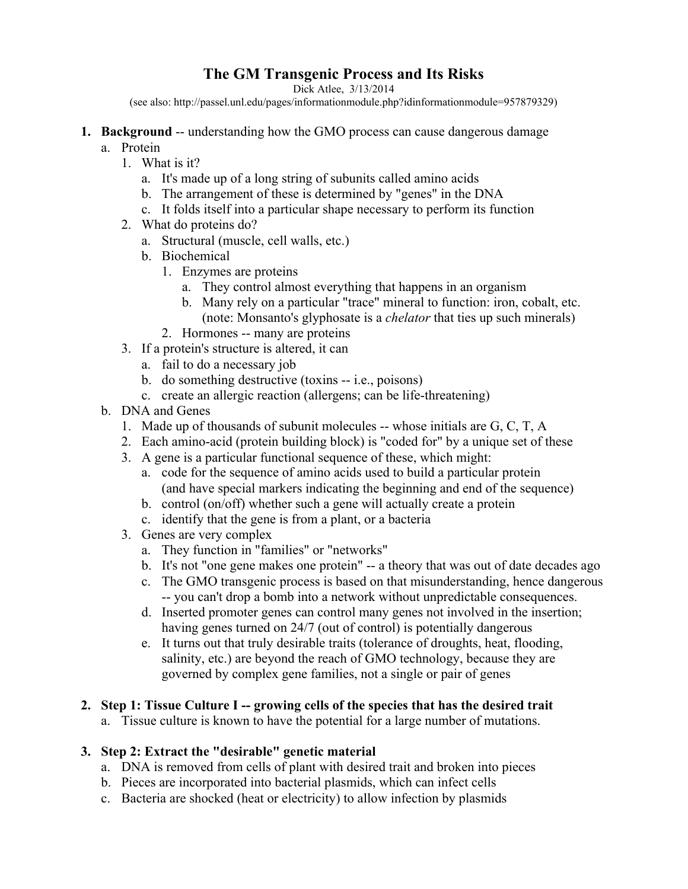# **The GM Transgenic Process and Its Risks**

Dick Atlee, 3/13/2014

(see also: http://passel.unl.edu/pages/informationmodule.php?idinformationmodule=957879329)

- **1. Background** -- understanding how the GMO process can cause dangerous damage a. Protein
	- 1. What is it?
		- a. It's made up of a long string of subunits called amino acids
		- b. The arrangement of these is determined by "genes" in the DNA
		- c. It folds itself into a particular shape necessary to perform its function
		- 2. What do proteins do?
			- a. Structural (muscle, cell walls, etc.)
			- b. Biochemical
				- 1. Enzymes are proteins
					- a. They control almost everything that happens in an organism
					- b. Many rely on a particular "trace" mineral to function: iron, cobalt, etc. (note: Monsanto's glyphosate is a *chelator* that ties up such minerals)
				- 2. Hormones -- many are proteins
		- 3. If a protein's structure is altered, it can
			- a. fail to do a necessary job
			- b. do something destructive (toxins -- i.e., poisons)
			- c. create an allergic reaction (allergens; can be life-threatening)
	- b. DNA and Genes
		- 1. Made up of thousands of subunit molecules -- whose initials are G, C, T, A
		- 2. Each amino-acid (protein building block) is "coded for" by a unique set of these
		- 3. A gene is a particular functional sequence of these, which might:
			- a. code for the sequence of amino acids used to build a particular protein (and have special markers indicating the beginning and end of the sequence)
			- b. control (on/off) whether such a gene will actually create a protein
			- c. identify that the gene is from a plant, or a bacteria
		- 3. Genes are very complex
			- a. They function in "families" or "networks"
			- b. It's not "one gene makes one protein" -- a theory that was out of date decades ago
			- c. The GMO transgenic process is based on that misunderstanding, hence dangerous -- you can't drop a bomb into a network without unpredictable consequences.
			- d. Inserted promoter genes can control many genes not involved in the insertion; having genes turned on 24/7 (out of control) is potentially dangerous
			- e. It turns out that truly desirable traits (tolerance of droughts, heat, flooding, salinity, etc.) are beyond the reach of GMO technology, because they are governed by complex gene families, not a single or pair of genes

#### **2. Step 1: Tissue Culture I -- growing cells of the species that has the desired trait**

a. Tissue culture is known to have the potential for a large number of mutations.

#### **3. Step 2: Extract the "desirable" genetic material**

- a. DNA is removed from cells of plant with desired trait and broken into pieces
- b. Pieces are incorporated into bacterial plasmids, which can infect cells
- c. Bacteria are shocked (heat or electricity) to allow infection by plasmids